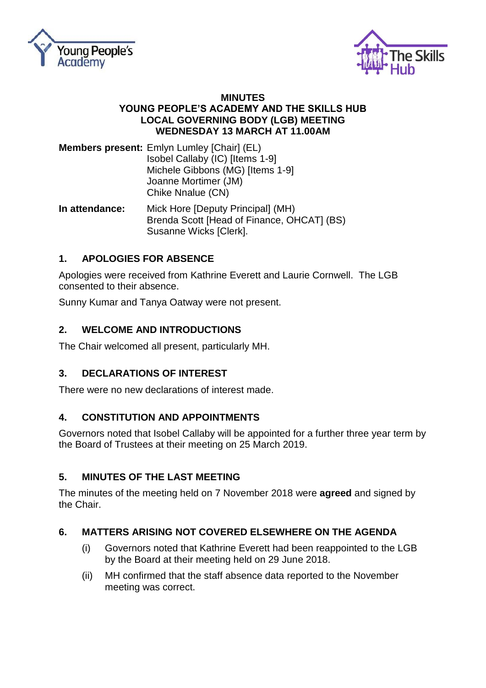



#### **MINUTES YOUNG PEOPLE'S ACADEMY AND THE SKILLS HUB LOCAL GOVERNING BODY (LGB) MEETING WEDNESDAY 13 MARCH AT 11.00AM**

**Members present:** Emlyn Lumley [Chair] (EL) Isobel Callaby (IC) [Items 1-9] Michele Gibbons (MG) [Items 1-9] Joanne Mortimer (JM) Chike Nnalue (CN)

**In attendance:** Mick Hore [Deputy Principal] (MH) Brenda Scott [Head of Finance, OHCAT] (BS) Susanne Wicks [Clerk].

# **1. APOLOGIES FOR ABSENCE**

Apologies were received from Kathrine Everett and Laurie Cornwell. The LGB consented to their absence.

Sunny Kumar and Tanya Oatway were not present.

# **2. WELCOME AND INTRODUCTIONS**

The Chair welcomed all present, particularly MH.

# **3. DECLARATIONS OF INTEREST**

There were no new declarations of interest made.

# **4. CONSTITUTION AND APPOINTMENTS**

Governors noted that Isobel Callaby will be appointed for a further three year term by the Board of Trustees at their meeting on 25 March 2019.

# **5. MINUTES OF THE LAST MEETING**

The minutes of the meeting held on 7 November 2018 were **agreed** and signed by the Chair.

# **6. MATTERS ARISING NOT COVERED ELSEWHERE ON THE AGENDA**

- (i) Governors noted that Kathrine Everett had been reappointed to the LGB by the Board at their meeting held on 29 June 2018.
- (ii) MH confirmed that the staff absence data reported to the November meeting was correct.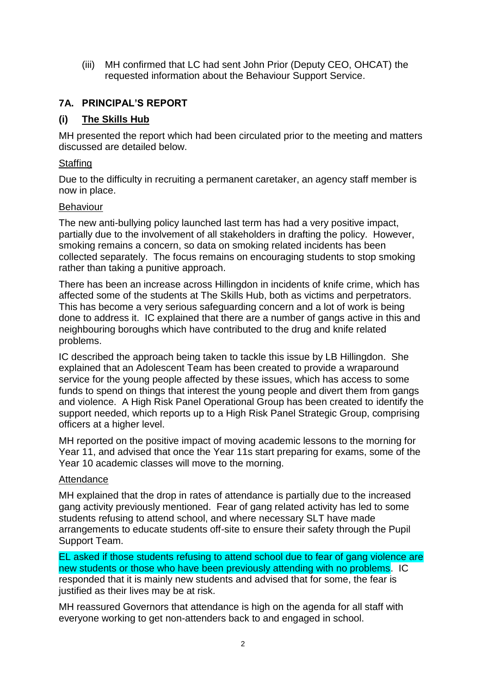(iii) MH confirmed that LC had sent John Prior (Deputy CEO, OHCAT) the requested information about the Behaviour Support Service.

### **7A. PRINCIPAL'S REPORT**

### **(i) The Skills Hub**

MH presented the report which had been circulated prior to the meeting and matters discussed are detailed below.

#### Staffing

Due to the difficulty in recruiting a permanent caretaker, an agency staff member is now in place.

#### Behaviour

The new anti-bullying policy launched last term has had a very positive impact, partially due to the involvement of all stakeholders in drafting the policy. However, smoking remains a concern, so data on smoking related incidents has been collected separately. The focus remains on encouraging students to stop smoking rather than taking a punitive approach.

There has been an increase across Hillingdon in incidents of knife crime, which has affected some of the students at The Skills Hub, both as victims and perpetrators. This has become a very serious safeguarding concern and a lot of work is being done to address it. IC explained that there are a number of gangs active in this and neighbouring boroughs which have contributed to the drug and knife related problems.

IC described the approach being taken to tackle this issue by LB Hillingdon. She explained that an Adolescent Team has been created to provide a wraparound service for the young people affected by these issues, which has access to some funds to spend on things that interest the young people and divert them from gangs and violence. A High Risk Panel Operational Group has been created to identify the support needed, which reports up to a High Risk Panel Strategic Group, comprising officers at a higher level.

MH reported on the positive impact of moving academic lessons to the morning for Year 11, and advised that once the Year 11s start preparing for exams, some of the Year 10 academic classes will move to the morning.

#### **Attendance**

MH explained that the drop in rates of attendance is partially due to the increased gang activity previously mentioned. Fear of gang related activity has led to some students refusing to attend school, and where necessary SLT have made arrangements to educate students off-site to ensure their safety through the Pupil Support Team.

EL asked if those students refusing to attend school due to fear of gang violence are new students or those who have been previously attending with no problems. IC responded that it is mainly new students and advised that for some, the fear is justified as their lives may be at risk.

MH reassured Governors that attendance is high on the agenda for all staff with everyone working to get non-attenders back to and engaged in school.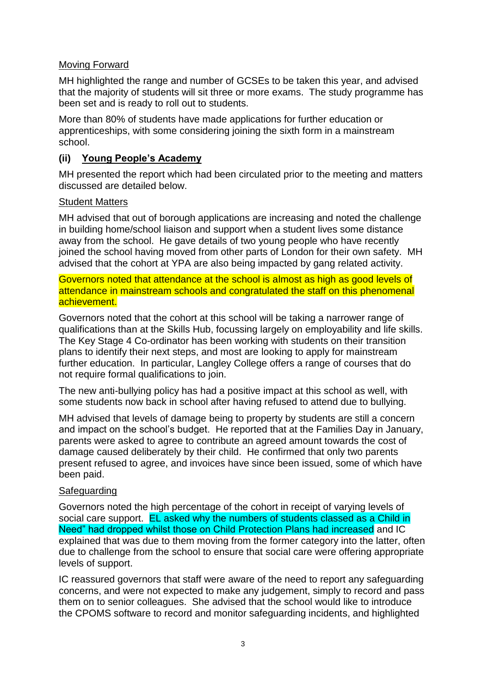### Moving Forward

MH highlighted the range and number of GCSEs to be taken this year, and advised that the majority of students will sit three or more exams. The study programme has been set and is ready to roll out to students.

More than 80% of students have made applications for further education or apprenticeships, with some considering joining the sixth form in a mainstream school.

## **(ii) Young People's Academy**

MH presented the report which had been circulated prior to the meeting and matters discussed are detailed below.

### Student Matters

MH advised that out of borough applications are increasing and noted the challenge in building home/school liaison and support when a student lives some distance away from the school. He gave details of two young people who have recently joined the school having moved from other parts of London for their own safety. MH advised that the cohort at YPA are also being impacted by gang related activity.

Governors noted that attendance at the school is almost as high as good levels of attendance in mainstream schools and congratulated the staff on this phenomenal achievement.

Governors noted that the cohort at this school will be taking a narrower range of qualifications than at the Skills Hub, focussing largely on employability and life skills. The Key Stage 4 Co-ordinator has been working with students on their transition plans to identify their next steps, and most are looking to apply for mainstream further education. In particular, Langley College offers a range of courses that do not require formal qualifications to join.

The new anti-bullying policy has had a positive impact at this school as well, with some students now back in school after having refused to attend due to bullying.

MH advised that levels of damage being to property by students are still a concern and impact on the school's budget. He reported that at the Families Day in January, parents were asked to agree to contribute an agreed amount towards the cost of damage caused deliberately by their child. He confirmed that only two parents present refused to agree, and invoices have since been issued, some of which have been paid.

# Safeguarding

Governors noted the high percentage of the cohort in receipt of varying levels of social care support. EL asked why the numbers of students classed as a Child in Need" had dropped whilst those on Child Protection Plans had increased and IC explained that was due to them moving from the former category into the latter, often due to challenge from the school to ensure that social care were offering appropriate levels of support.

IC reassured governors that staff were aware of the need to report any safeguarding concerns, and were not expected to make any judgement, simply to record and pass them on to senior colleagues. She advised that the school would like to introduce the CPOMS software to record and monitor safeguarding incidents, and highlighted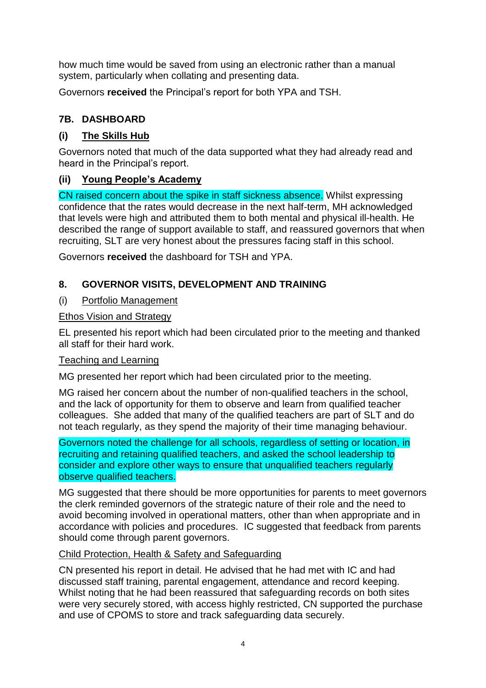how much time would be saved from using an electronic rather than a manual system, particularly when collating and presenting data.

Governors **received** the Principal's report for both YPA and TSH.

# **7B. DASHBOARD**

## **(i) The Skills Hub**

Governors noted that much of the data supported what they had already read and heard in the Principal's report.

## **(ii) Young People's Academy**

CN raised concern about the spike in staff sickness absence. Whilst expressing confidence that the rates would decrease in the next half-term, MH acknowledged that levels were high and attributed them to both mental and physical ill-health. He described the range of support available to staff, and reassured governors that when recruiting, SLT are very honest about the pressures facing staff in this school.

Governors **received** the dashboard for TSH and YPA.

## **8. GOVERNOR VISITS, DEVELOPMENT AND TRAINING**

### (i) Portfolio Management

#### Ethos Vision and Strategy

EL presented his report which had been circulated prior to the meeting and thanked all staff for their hard work.

#### Teaching and Learning

MG presented her report which had been circulated prior to the meeting.

MG raised her concern about the number of non-qualified teachers in the school, and the lack of opportunity for them to observe and learn from qualified teacher colleagues. She added that many of the qualified teachers are part of SLT and do not teach regularly, as they spend the majority of their time managing behaviour.

Governors noted the challenge for all schools, regardless of setting or location, in recruiting and retaining qualified teachers, and asked the school leadership to consider and explore other ways to ensure that unqualified teachers regularly observe qualified teachers.

MG suggested that there should be more opportunities for parents to meet governors the clerk reminded governors of the strategic nature of their role and the need to avoid becoming involved in operational matters, other than when appropriate and in accordance with policies and procedures. IC suggested that feedback from parents should come through parent governors.

#### Child Protection, Health & Safety and Safeguarding

CN presented his report in detail. He advised that he had met with IC and had discussed staff training, parental engagement, attendance and record keeping. Whilst noting that he had been reassured that safeguarding records on both sites were very securely stored, with access highly restricted, CN supported the purchase and use of CPOMS to store and track safeguarding data securely.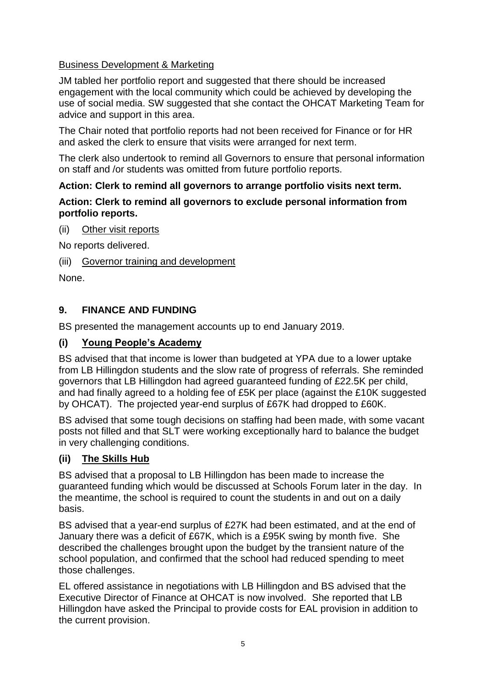## Business Development & Marketing

JM tabled her portfolio report and suggested that there should be increased engagement with the local community which could be achieved by developing the use of social media. SW suggested that she contact the OHCAT Marketing Team for advice and support in this area.

The Chair noted that portfolio reports had not been received for Finance or for HR and asked the clerk to ensure that visits were arranged for next term.

The clerk also undertook to remind all Governors to ensure that personal information on staff and /or students was omitted from future portfolio reports.

### **Action: Clerk to remind all governors to arrange portfolio visits next term.**

### **Action: Clerk to remind all governors to exclude personal information from portfolio reports.**

(ii) Other visit reports

No reports delivered.

### (iii) Governor training and development

None.

# **9. FINANCE AND FUNDING**

BS presented the management accounts up to end January 2019.

### **(i) Young People's Academy**

BS advised that that income is lower than budgeted at YPA due to a lower uptake from LB Hillingdon students and the slow rate of progress of referrals. She reminded governors that LB Hillingdon had agreed guaranteed funding of £22.5K per child, and had finally agreed to a holding fee of £5K per place (against the £10K suggested by OHCAT). The projected year-end surplus of £67K had dropped to £60K.

BS advised that some tough decisions on staffing had been made, with some vacant posts not filled and that SLT were working exceptionally hard to balance the budget in very challenging conditions.

# **(ii) The Skills Hub**

BS advised that a proposal to LB Hillingdon has been made to increase the guaranteed funding which would be discussed at Schools Forum later in the day. In the meantime, the school is required to count the students in and out on a daily basis.

BS advised that a year-end surplus of £27K had been estimated, and at the end of January there was a deficit of £67K, which is a £95K swing by month five. She described the challenges brought upon the budget by the transient nature of the school population, and confirmed that the school had reduced spending to meet those challenges.

EL offered assistance in negotiations with LB Hillingdon and BS advised that the Executive Director of Finance at OHCAT is now involved. She reported that LB Hillingdon have asked the Principal to provide costs for EAL provision in addition to the current provision.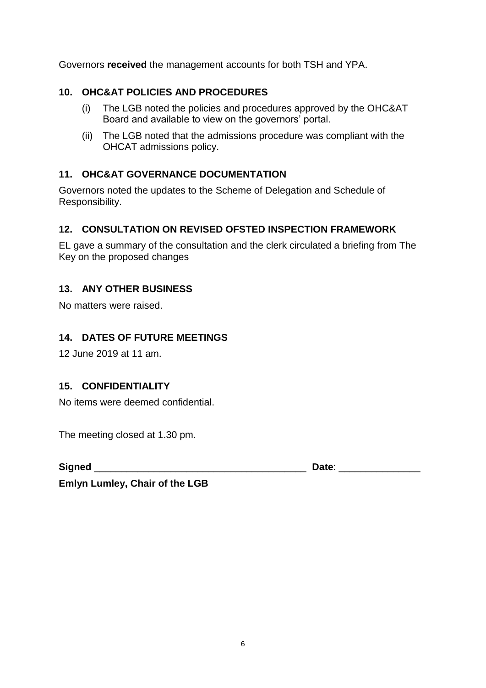Governors **received** the management accounts for both TSH and YPA.

# **10. OHC&AT POLICIES AND PROCEDURES**

- (i) The LGB noted the policies and procedures approved by the OHC&AT Board and available to view on the governors' portal.
- (ii) The LGB noted that the admissions procedure was compliant with the OHCAT admissions policy.

## **11. OHC&AT GOVERNANCE DOCUMENTATION**

Governors noted the updates to the Scheme of Delegation and Schedule of Responsibility.

# **12. CONSULTATION ON REVISED OFSTED INSPECTION FRAMEWORK**

EL gave a summary of the consultation and the clerk circulated a briefing from The Key on the proposed changes

## **13. ANY OTHER BUSINESS**

No matters were raised.

## **14. DATES OF FUTURE MEETINGS**

12 June 2019 at 11 am.

### **15. CONFIDENTIALITY**

No items were deemed confidential.

The meeting closed at 1.30 pm.

**Signed** \_\_\_\_\_\_\_\_\_\_\_\_\_\_\_\_\_\_\_\_\_\_\_\_\_\_\_\_\_\_\_\_\_\_\_\_\_\_\_ **Date**: \_\_\_\_\_\_\_\_\_\_\_\_\_\_\_

**Emlyn Lumley, Chair of the LGB**